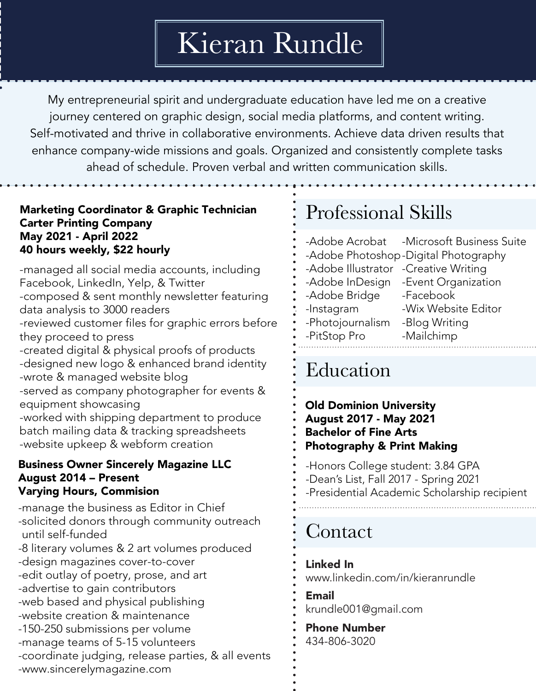# Kieran Rundle

My entrepreneurial spirit and undergraduate education have led me on a creative journey centered on graphic design, social media platforms, and content writing. Self-motivated and thrive in collaborative environments. Achieve data driven results that enhance company-wide missions and goals. Organized and consistently complete tasks ahead of schedule. Proven verbal and written communication skills.

### Marketing Coordinator & Graphic Technician Carter Printing Company May 2021 - April 2022 40 hours weekly, \$22 hourly

-managed all social media accounts, including Facebook, LinkedIn, Yelp, & Twitter -composed & sent monthly newsletter featuring data analysis to 3000 readers -reviewed customer files for graphic errors before they proceed to press -created digital & physical proofs of products -designed new logo & enhanced brand identity -wrote & managed website blog -served as company photographer for events & equipment showcasing -worked with shipping department to produce batch mailing data & tracking spreadsheets -website upkeep & webform creation

### Business Owner Sincerely Magazine LLC August 2014 – Present Varying Hours, Commision

-manage the business as Editor in Chief -solicited donors through community outreach until self-funded -8 literary volumes & 2 art volumes produced -design magazines cover-to-cover -edit outlay of poetry, prose, and art -advertise to gain contributors -web based and physical publishing -website creation & maintenance -150-250 submissions per volume -manage teams of 5-15 volunteers -coordinate judging, release parties, & all events -www.sincerelymagazine.com

# Professional Skills

-Adobe Acrobat -Adobe Photoshop -Digital Photography -Adobe Illustrator -Creative Writing -Adobe InDesign -Event Organization -Adobe Bridge -Instagram -Photojournalism -PitStop Pro -Microsoft Business Suite -Facebook -Wix Website Editor -Blog Writing -Mailchimp

## Education

#### Old Dominion University August 2017 - May 2021 Bachelor of Fine Arts Photography & Print Making

-Honors College student: 3.84 GPA

- -Dean's List, Fall 2017 Spring 2021
- -Presidential Academic Scholarship recipient

## Contact

### Linked In

www.linkedin.com/in/kieranrundle

Email krundle001@gmail.com

Phone Number 434-806-3020